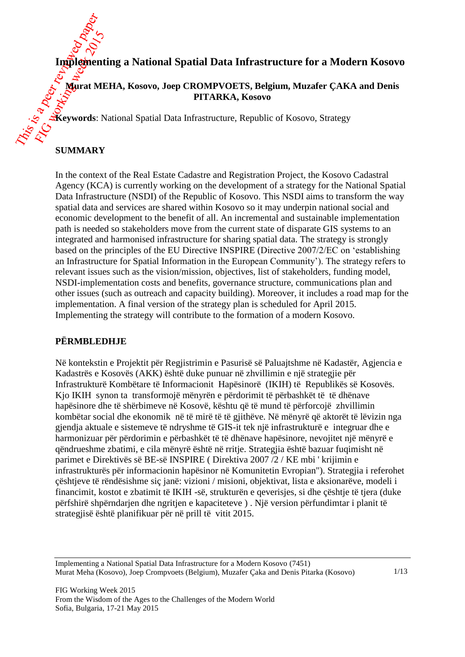

**Murat MEHA, Kosovo, Joep CROMPVOETS, Belgium, Muzafer ÇAKA and Denis PITARKA, Kosovo**

**Keywords**: National Spatial Data Infrastructure, Republic of Kosovo, Strategy

# **SUMMARY**

In the context of the Real Estate Cadastre and Registration Project, the Kosovo Cadastral Agency (KCA) is currently working on the development of a strategy for the National Spatial Data Infrastructure (NSDI) of the Republic of Kosovo. This NSDI aims to transform the way spatial data and services are shared within Kosovo so it may underpin national social and economic development to the benefit of all. An incremental and sustainable implementation path is needed so stakeholders move from the current state of disparate GIS systems to an integrated and harmonised infrastructure for sharing spatial data. The strategy is strongly based on the principles of the EU Directive INSPIRE (Directive 2007/2/EC on 'establishing an Infrastructure for Spatial Information in the European Community'). The strategy refers to relevant issues such as the vision/mission, objectives, list of stakeholders, funding model, NSDI-implementation costs and benefits, governance structure, communications plan and other issues (such as outreach and capacity building). Moreover, it includes a road map for the implementation. A final version of the strategy plan is scheduled for April 2015. Implementing the strategy will contribute to the formation of a modern Kosovo.

## **PËRMBLEDHJE**

Në kontekstin e Projektit për Regjistrimin e Pasurisë së Paluajtshme në Kadastër, Agjencia e Kadastrës e Kosovës (AKK) është duke punuar në zhvillimin e një strategjie për Infrastrukturë Kombëtare të Informacionit Hapësinorë (IKIH) të Republikës së Kosovës. Kjo IKIH synon ta transformojë mënyrën e përdorimit të përbashkët të të dhënave hapësinore dhe të shërbimeve në Kosovë, kështu që të mund të përforcojë zhvillimin kombëtar social dhe ekonomik në të mirë të të gjithëve. Në mënyrë që aktorët të lëvizin nga gjendja aktuale e sistemeve të ndryshme të GIS-it tek një infrastrukturë e integruar dhe e harmonizuar për përdorimin e përbashkët të të dhënave hapësinore, nevojitet një mënyrë e qëndrueshme zbatimi, e cila mënyrë është në rritje. Strategjia është bazuar fuqimisht në parimet e Direktivës së BE-së INSPIRE ( Direktiva 2007 /2 / KE mbi ' krijimin e infrastrukturës për informacionin hapësinor në Komunitetin Evropian"). Strategjia i referohet çështjeve të rëndësishme siç janë: vizioni / misioni, objektivat, lista e aksionarëve, modeli i financimit, kostot e zbatimit të IKIH -së, strukturën e qeverisjes, si dhe çështje të tjera (duke përfshirë shpërndarjen dhe ngritjen e kapaciteteve ) . Një version përfundimtar i planit të strategjisë është planifikuar për në prill të vitit 2015.

Implementing a National Spatial Data Infrastructure for a Modern Kosovo (7451) Murat Meha (Kosovo), Joep Crompvoets (Belgium), Muzafer Çaka and Denis Pitarka (Kosovo)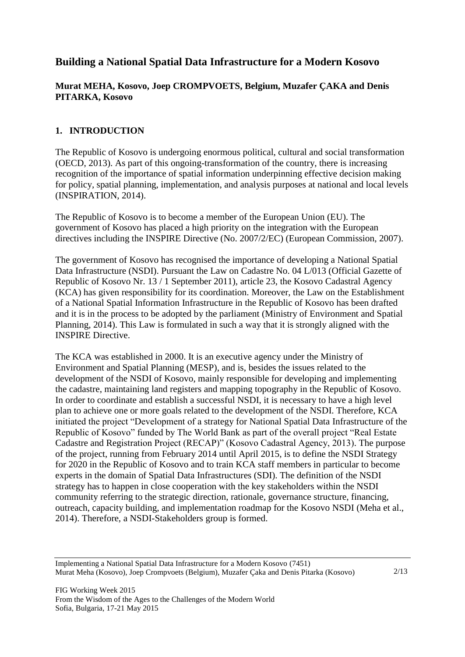# **Building a National Spatial Data Infrastructure for a Modern Kosovo**

# **Murat MEHA, Kosovo, Joep CROMPVOETS, Belgium, Muzafer ÇAKA and Denis PITARKA, Kosovo**

# **1. INTRODUCTION**

The Republic of Kosovo is undergoing enormous political, cultural and social transformation (OECD, 2013). As part of this ongoing-transformation of the country, there is increasing recognition of the importance of spatial information underpinning effective decision making for policy, spatial planning, implementation, and analysis purposes at national and local levels (INSPIRATION, 2014).

The Republic of Kosovo is to become a member of the European Union (EU). The government of Kosovo has placed a high priority on the integration with the European directives including the INSPIRE Directive (No. 2007/2/EC) (European Commission, 2007).

The government of Kosovo has recognised the importance of developing a National Spatial Data Infrastructure (NSDI). Pursuant the Law on Cadastre No. 04 L/013 (Official Gazette of Republic of Kosovo Nr. 13 / 1 September 2011), article 23, the Kosovo Cadastral Agency (KCA) has given responsibility for its coordination. Moreover, the Law on the Establishment of a National Spatial Information Infrastructure in the Republic of Kosovo has been drafted and it is in the process to be adopted by the parliament (Ministry of Environment and Spatial Planning, 2014). This Law is formulated in such a way that it is strongly aligned with the INSPIRE Directive.

The KCA was established in 2000. It is an executive agency under the Ministry of Environment and Spatial Planning (MESP), and is, besides the issues related to the development of the NSDI of Kosovo, mainly responsible for developing and implementing the cadastre, maintaining land registers and mapping topography in the Republic of Kosovo. In order to coordinate and establish a successful NSDI, it is necessary to have a high level plan to achieve one or more goals related to the development of the NSDI. Therefore, KCA initiated the project "Development of a strategy for National Spatial Data Infrastructure of the Republic of Kosovo" funded by The World Bank as part of the overall project "Real Estate Cadastre and Registration Project (RECAP)" (Kosovo Cadastral Agency, 2013). The purpose of the project, running from February 2014 until April 2015, is to define the NSDI Strategy for 2020 in the Republic of Kosovo and to train KCA staff members in particular to become experts in the domain of Spatial Data Infrastructures (SDI). The definition of the NSDI strategy has to happen in close cooperation with the key stakeholders within the NSDI community referring to the strategic direction, rationale, governance structure, financing, outreach, capacity building, and implementation roadmap for the Kosovo NSDI (Meha et al., 2014). Therefore, a NSDI-Stakeholders group is formed.

Implementing a National Spatial Data Infrastructure for a Modern Kosovo (7451) Murat Meha (Kosovo), Joep Crompvoets (Belgium), Muzafer Çaka and Denis Pitarka (Kosovo)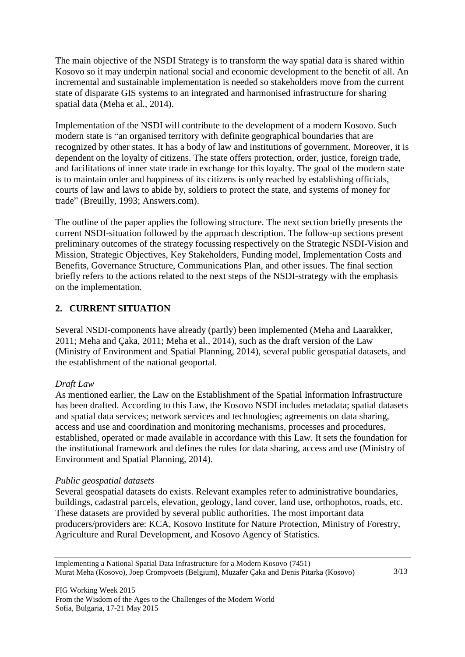The main objective of the NSDI Strategy is to transform the way spatial data is shared within Kosovo so it may underpin national social and economic development to the benefit of all. An incremental and sustainable implementation is needed so stakeholders move from the current state of disparate GIS systems to an integrated and harmonised infrastructure for sharing spatial data (Meha et al., 2014).

Implementation of the NSDI will contribute to the development of a modern Kosovo. Such modern state is "an organised territory with definite geographical boundaries that are recognized by other states. It has a body of law and institutions of government. Moreover, it is dependent on the loyalty of citizens. The state offers protection, order, justice, foreign trade, and facilitations of inner state trade in exchange for this loyalty. The goal of the modern state is to maintain order and happiness of its citizens is only reached by establishing officials, courts of law and laws to abide by, soldiers to protect the state, and systems of money for trade" (Breuilly, 1993; Answers.com).

The outline of the paper applies the following structure. The next section briefly presents the current NSDI-situation followed by the approach description. The follow-up sections present preliminary outcomes of the strategy focussing respectively on the Strategic NSDI-Vision and Mission, Strategic Objectives, Key Stakeholders, Funding model, Implementation Costs and Benefits, Governance Structure, Communications Plan, and other issues. The final section briefly refers to the actions related to the next steps of the NSDI-strategy with the emphasis on the implementation.

## **2. CURRENT SITUATION**

Several NSDI-components have already (partly) been implemented (Meha and Laarakker, 2011; Meha and Çaka, 2011; Meha et al., 2014), such as the draft version of the Law (Ministry of Environment and Spatial Planning, 2014), several public geospatial datasets, and the establishment of the national geoportal.

## *Draft Law*

As mentioned earlier, the Law on the Establishment of the Spatial Information Infrastructure has been drafted. According to this Law, the Kosovo NSDI includes metadata; spatial datasets and spatial data services; network services and technologies; agreements on data sharing, access and use and coordination and monitoring mechanisms, processes and procedures, established, operated or made available in accordance with this Law. It sets the foundation for the institutional framework and defines the rules for data sharing, access and use (Ministry of Environment and Spatial Planning, 2014).

#### *Public geospatial datasets*

Several geospatial datasets do exists. Relevant examples refer to administrative boundaries, buildings, cadastral parcels, elevation, geology, land cover, land use, orthophotos, roads, etc. These datasets are provided by several public authorities. The most important data producers/providers are: KCA, Kosovo Institute for Nature Protection, Ministry of Forestry, Agriculture and Rural Development, and Kosovo Agency of Statistics.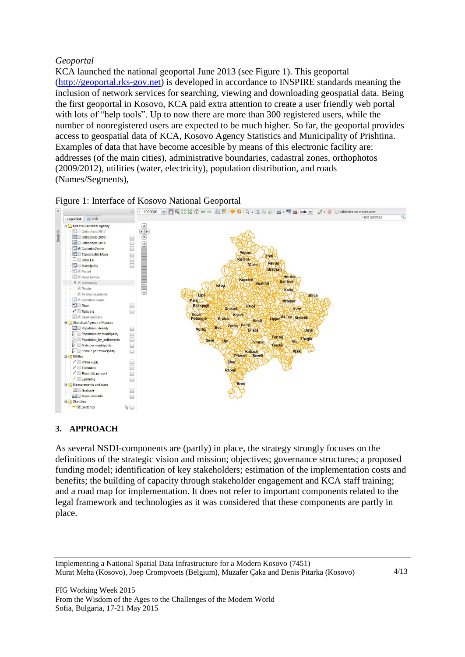### *Geoportal*

KCA launched the national geoportal June 2013 (see Figure 1). This geoportal [\(http://geoportal.rks-gov.net\)](http://geoportal.rks-gov.net/) is developed in accordance to INSPIRE standards meaning the inclusion of network services for searching, viewing and downloading geospatial data. Being the first geoportal in Kosovo, KCA paid extra attention to create a user friendly web portal with lots of "help tools". Up to now there are more than 300 registered users, while the number of nonregistered users are expected to be much higher. So far, the geoportal provides access to geospatial data of KCA, Kosovo Agency Statistics and Municipality of Prishtina. Examples of data that have become accesible by means of this electronic facility are: addresses (of the main cities), administrative boundaries, cadastral zones, orthophotos (2009/2012), utilities (water, electricity), population distribution, and roads (Names/Segments),



#### Figure 1: Interface of Kosovo National Geoportal

## **3. APPROACH**

As several NSDI-components are (partly) in place, the strategy strongly focuses on the definitions of the strategic vision and mission; objectives; governance structures; a proposed funding model; identification of key stakeholders; estimation of the implementation costs and benefits; the building of capacity through stakeholder engagement and KCA staff training; and a road map for implementation. It does not refer to important components related to the legal framework and technologies as it was considered that these components are partly in place.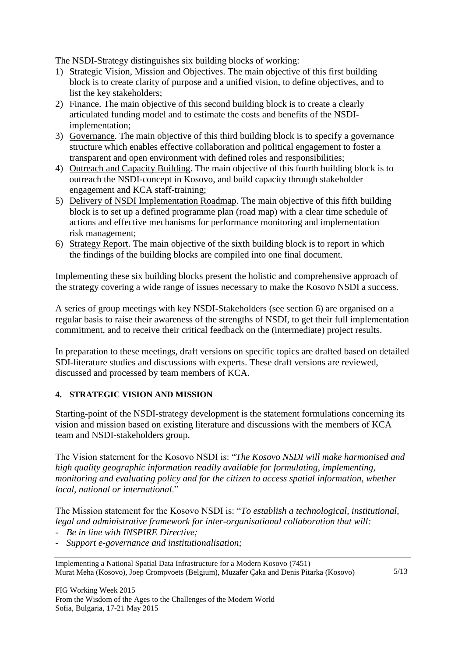The NSDI-Strategy distinguishes six building blocks of working:

- 1) Strategic Vision, Mission and Objectives. The main objective of this first building block is to create clarity of purpose and a unified vision, to define objectives, and to list the key stakeholders;
- 2) Finance. The main objective of this second building block is to create a clearly articulated funding model and to estimate the costs and benefits of the NSDIimplementation;
- 3) Governance. The main objective of this third building block is to specify a governance structure which enables effective collaboration and political engagement to foster a transparent and open environment with defined roles and responsibilities;
- 4) Outreach and Capacity Building. The main objective of this fourth building block is to outreach the NSDI-concept in Kosovo, and build capacity through stakeholder engagement and KCA staff-training;
- 5) Delivery of NSDI Implementation Roadmap. The main objective of this fifth building block is to set up a defined programme plan (road map) with a clear time schedule of actions and effective mechanisms for performance monitoring and implementation risk management;
- 6) Strategy Report. The main objective of the sixth building block is to report in which the findings of the building blocks are compiled into one final document.

Implementing these six building blocks present the holistic and comprehensive approach of the strategy covering a wide range of issues necessary to make the Kosovo NSDI a success.

A series of group meetings with key NSDI-Stakeholders (see section 6) are organised on a regular basis to raise their awareness of the strengths of NSDI, to get their full implementation commitment, and to receive their critical feedback on the (intermediate) project results.

In preparation to these meetings, draft versions on specific topics are drafted based on detailed SDI-literature studies and discussions with experts. These draft versions are reviewed, discussed and processed by team members of KCA.

## **4. STRATEGIC VISION AND MISSION**

Starting-point of the NSDI-strategy development is the statement formulations concerning its vision and mission based on existing literature and discussions with the members of KCA team and NSDI-stakeholders group.

The Vision statement for the Kosovo NSDI is: "*The Kosovo NSDI will make harmonised and high quality geographic information readily available for formulating, implementing, monitoring and evaluating policy and for the citizen to access spatial information, whether local, national or international*."

The Mission statement for the Kosovo NSDI is: "*To establish a technological, institutional, legal and administrative framework for inter-organisational collaboration that will:*

- *Be in line with INSPIRE Directive;*
- *Support e-governance and institutionalisation;*

Implementing a National Spatial Data Infrastructure for a Modern Kosovo (7451) Murat Meha (Kosovo), Joep Crompvoets (Belgium), Muzafer Çaka and Denis Pitarka (Kosovo)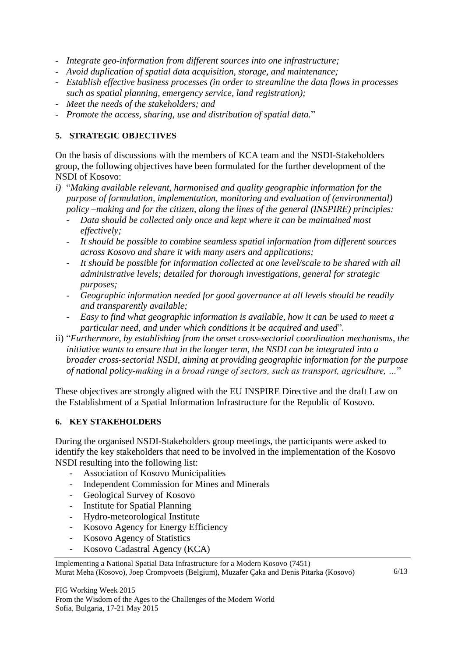- *Integrate geo-information from different sources into one infrastructure;*
- *Avoid duplication of spatial data acquisition, storage, and maintenance;*
- *Establish effective business processes (in order to streamline the data flows in processes such as spatial planning, emergency service, land registration);*
- *Meet the needs of the stakeholders; and*
- *Promote the access, sharing, use and distribution of spatial data.*"

#### **5. STRATEGIC OBJECTIVES**

On the basis of discussions with the members of KCA team and the NSDI-Stakeholders group, the following objectives have been formulated for the further development of the NSDI of Kosovo:

- *i)* "*Making available relevant, harmonised and quality geographic information for the purpose of formulation, implementation, monitoring and evaluation of (environmental) policy –making and for the citizen, along the lines of the general (INSPIRE) principles:*
	- *Data should be collected only once and kept where it can be maintained most effectively;*
	- *It should be possible to combine seamless spatial information from different sources across Kosovo and share it with many users and applications;*
	- *It should be possible for information collected at one level/scale to be shared with all administrative levels; detailed for thorough investigations, general for strategic purposes;*
	- *Geographic information needed for good governance at all levels should be readily and transparently available;*
	- *Easy to find what geographic information is available, how it can be used to meet a particular need, and under which conditions it be acquired and used*".
- ii) "*Furthermore, by establishing from the onset cross-sectorial coordination mechanisms, the initiative wants to ensure that in the longer term, the NSDI can be integrated into a broader cross-sectorial NSDI, aiming at providing geographic information for the purpose of national policy-making in a broad range of sectors, such as transport, agriculture, …*"

These objectives are strongly aligned with the EU INSPIRE Directive and the draft Law on the Establishment of a Spatial Information Infrastructure for the Republic of Kosovo.

#### **6. KEY STAKEHOLDERS**

During the organised NSDI-Stakeholders group meetings, the participants were asked to identify the key stakeholders that need to be involved in the implementation of the Kosovo NSDI resulting into the following list:

- Association of Kosovo Municipalities
- Independent Commission for Mines and Minerals
- Geological Survey of Kosovo
- Institute for Spatial Planning
- Hydro-meteorological Institute
- Kosovo Agency for Energy Efficiency
- Kosovo Agency of Statistics
- Kosovo Cadastral Agency (KCA)

Implementing a National Spatial Data Infrastructure for a Modern Kosovo (7451) Murat Meha (Kosovo), Joep Crompvoets (Belgium), Muzafer Çaka and Denis Pitarka (Kosovo)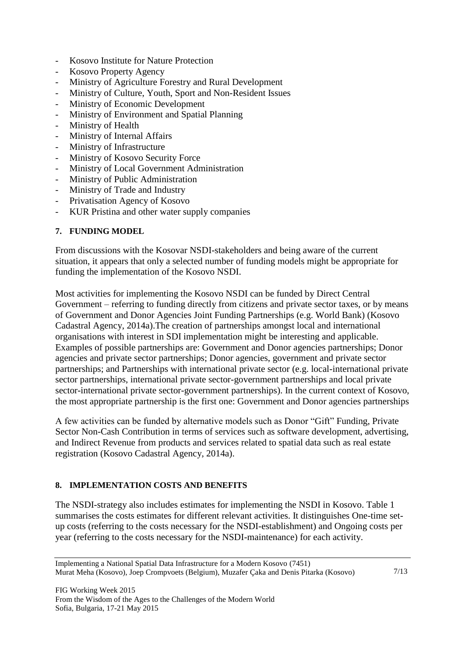- Kosovo Institute for Nature Protection
- Kosovo Property Agency
- Ministry of Agriculture Forestry and Rural Development
- Ministry of Culture, Youth, Sport and Non-Resident Issues
- Ministry of Economic Development
- Ministry of Environment and Spatial Planning
- Ministry of Health
- Ministry of Internal Affairs
- Ministry of Infrastructure
- Ministry of Kosovo Security Force
- Ministry of Local Government Administration
- Ministry of Public Administration
- Ministry of Trade and Industry
- Privatisation Agency of Kosovo
- KUR Pristina and other water supply companies

#### **7. FUNDING MODEL**

From discussions with the Kosovar NSDI-stakeholders and being aware of the current situation, it appears that only a selected number of funding models might be appropriate for funding the implementation of the Kosovo NSDI.

Most activities for implementing the Kosovo NSDI can be funded by Direct Central Government – referring to funding directly from citizens and private sector taxes, or by means of Government and Donor Agencies Joint Funding Partnerships (e.g. World Bank) (Kosovo Cadastral Agency, 2014a).The creation of partnerships amongst local and international organisations with interest in SDI implementation might be interesting and applicable. Examples of possible partnerships are: Government and Donor agencies partnerships; Donor agencies and private sector partnerships; Donor agencies, government and private sector partnerships; and Partnerships with international private sector (e.g. local-international private sector partnerships, international private sector-government partnerships and local private sector-international private sector-government partnerships). In the current context of Kosovo, the most appropriate partnership is the first one: Government and Donor agencies partnerships

A few activities can be funded by alternative models such as Donor "Gift" Funding, Private Sector Non-Cash Contribution in terms of services such as software development, advertising, and Indirect Revenue from products and services related to spatial data such as real estate registration (Kosovo Cadastral Agency, 2014a).

## **8. IMPLEMENTATION COSTS AND BENEFITS**

The NSDI-strategy also includes estimates for implementing the NSDI in Kosovo. Table 1 summarises the costs estimates for different relevant activities. It distinguishes One-time setup costs (referring to the costs necessary for the NSDI-establishment) and Ongoing costs per year (referring to the costs necessary for the NSDI-maintenance) for each activity.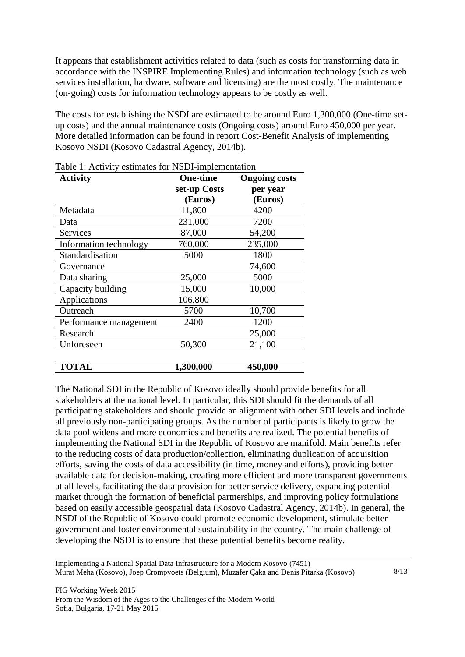It appears that establishment activities related to data (such as costs for transforming data in accordance with the INSPIRE Implementing Rules) and information technology (such as web services installation, hardware, software and licensing) are the most costly. The maintenance (on-going) costs for information technology appears to be costly as well.

The costs for establishing the NSDI are estimated to be around Euro 1,300,000 (One-time setup costs) and the annual maintenance costs (Ongoing costs) around Euro 450,000 per year. More detailed information can be found in report Cost-Benefit Analysis of implementing Kosovo NSDI (Kosovo Cadastral Agency, 2014b).

| <b>Activity</b>        | <b>One-time</b> | <b>Ongoing costs</b> |
|------------------------|-----------------|----------------------|
|                        | set-up Costs    | per year             |
|                        | (Euros)         | (Euros)              |
| Metadata               | 11,800          | 4200                 |
| Data                   | 231,000         | 7200                 |
| <b>Services</b>        | 87,000          | 54,200               |
| Information technology | 760,000         | 235,000              |
| Standardisation        | 5000            | 1800                 |
| Governance             |                 | 74,600               |
| Data sharing           | 25,000          | 5000                 |
| Capacity building      | 15,000          | 10,000               |
| Applications           | 106,800         |                      |
| Outreach               | 5700            | 10,700               |
| Performance management | 2400            | 1200                 |
| Research               |                 | 25,000               |
| Unforeseen             | 50,300          | 21,100               |
|                        |                 |                      |
| <b>TOTAL</b>           | 1,300,000       | 450,000              |

Table 1: Activity estimates for NSDI-implementation

The National SDI in the Republic of Kosovo ideally should provide benefits for all stakeholders at the national level. In particular, this SDI should fit the demands of all participating stakeholders and should provide an alignment with other SDI levels and include all previously non-participating groups. As the number of participants is likely to grow the data pool widens and more economies and benefits are realized. The potential benefits of implementing the National SDI in the Republic of Kosovo are manifold. Main benefits refer to the reducing costs of data production/collection, eliminating duplication of acquisition efforts, saving the costs of data accessibility (in time, money and efforts), providing better available data for decision-making, creating more efficient and more transparent governments at all levels, facilitating the data provision for better service delivery, expanding potential market through the formation of beneficial partnerships, and improving policy formulations based on easily accessible geospatial data (Kosovo Cadastral Agency, 2014b). In general, the NSDI of the Republic of Kosovo could promote economic development, stimulate better government and foster environmental sustainability in the country. The main challenge of developing the NSDI is to ensure that these potential benefits become reality.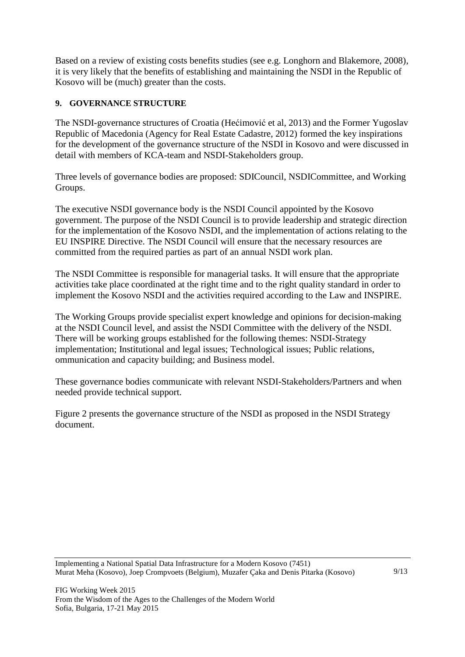Based on a review of existing costs benefits studies (see e.g. Longhorn and Blakemore, 2008), it is very likely that the benefits of establishing and maintaining the NSDI in the Republic of Kosovo will be (much) greater than the costs.

# **9. GOVERNANCE STRUCTURE**

The NSDI-governance structures of Croatia (Hećimović et al, 2013) and the Former Yugoslav Republic of Macedonia (Agency for Real Estate Cadastre, 2012) formed the key inspirations for the development of the governance structure of the NSDI in Kosovo and were discussed in detail with members of KCA-team and NSDI-Stakeholders group.

Three levels of governance bodies are proposed: SDICouncil, NSDICommittee, and Working Groups.

The executive NSDI governance body is the NSDI Council appointed by the Kosovo government. The purpose of the NSDI Council is to provide leadership and strategic direction for the implementation of the Kosovo NSDI, and the implementation of actions relating to the EU INSPIRE Directive. The NSDI Council will ensure that the necessary resources are committed from the required parties as part of an annual NSDI work plan.

The NSDI Committee is responsible for managerial tasks. It will ensure that the appropriate activities take place coordinated at the right time and to the right quality standard in order to implement the Kosovo NSDI and the activities required according to the Law and INSPIRE.

The Working Groups provide specialist expert knowledge and opinions for decision-making at the NSDI Council level, and assist the NSDI Committee with the delivery of the NSDI. There will be working groups established for the following themes: NSDI-Strategy implementation; Institutional and legal issues; Technological issues; Public relations, ommunication and capacity building; and Business model.

These governance bodies communicate with relevant NSDI-Stakeholders/Partners and when needed provide technical support.

Figure 2 presents the governance structure of the NSDI as proposed in the NSDI Strategy document.

Implementing a National Spatial Data Infrastructure for a Modern Kosovo (7451) Murat Meha (Kosovo), Joep Crompvoets (Belgium), Muzafer Çaka and Denis Pitarka (Kosovo)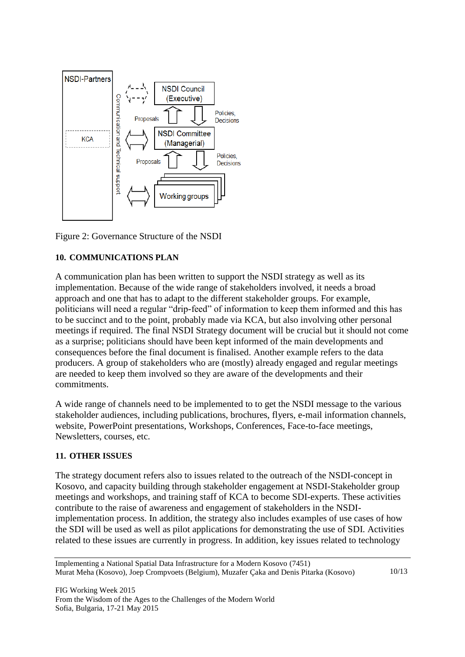

Figure 2: Governance Structure of the NSDI

## **10. COMMUNICATIONS PLAN**

A communication plan has been written to support the NSDI strategy as well as its implementation. Because of the wide range of stakeholders involved, it needs a broad approach and one that has to adapt to the different stakeholder groups. For example, politicians will need a regular "drip-feed" of information to keep them informed and this has to be succinct and to the point, probably made via KCA, but also involving other personal meetings if required. The final NSDI Strategy document will be crucial but it should not come as a surprise; politicians should have been kept informed of the main developments and consequences before the final document is finalised. Another example refers to the data producers. A group of stakeholders who are (mostly) already engaged and regular meetings are needed to keep them involved so they are aware of the developments and their commitments.

A wide range of channels need to be implemented to to get the NSDI message to the various stakeholder audiences, including publications, brochures, flyers, e-mail information channels, website, PowerPoint presentations, Workshops, Conferences, Face-to-face meetings, Newsletters, courses, etc.

#### **11. OTHER ISSUES**

The strategy document refers also to issues related to the outreach of the NSDI-concept in Kosovo, and capacity building through stakeholder engagement at NSDI-Stakeholder group meetings and workshops, and training staff of KCA to become SDI-experts. These activities contribute to the raise of awareness and engagement of stakeholders in the NSDIimplementation process. In addition, the strategy also includes examples of use cases of how the SDI will be used as well as pilot applications for demonstrating the use of SDI. Activities related to these issues are currently in progress. In addition, key issues related to technology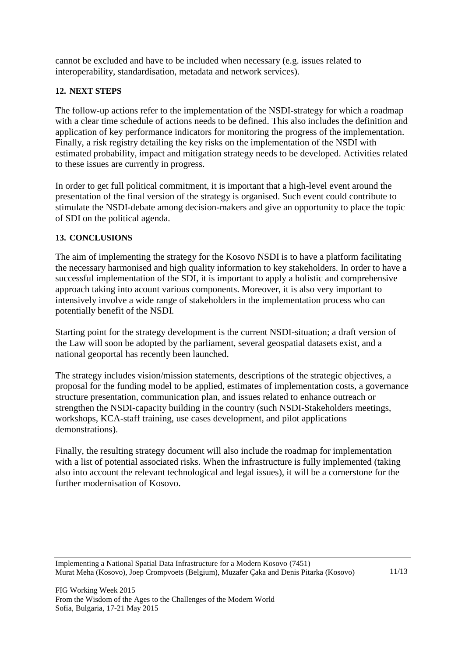cannot be excluded and have to be included when necessary (e.g. issues related to interoperability, standardisation, metadata and network services).

#### **12. NEXT STEPS**

The follow-up actions refer to the implementation of the NSDI-strategy for which a roadmap with a clear time schedule of actions needs to be defined. This also includes the definition and application of key performance indicators for monitoring the progress of the implementation. Finally, a risk registry detailing the key risks on the implementation of the NSDI with estimated probability, impact and mitigation strategy needs to be developed. Activities related to these issues are currently in progress.

In order to get full political commitment, it is important that a high-level event around the presentation of the final version of the strategy is organised. Such event could contribute to stimulate the NSDI-debate among decision-makers and give an opportunity to place the topic of SDI on the political agenda.

#### **13. CONCLUSIONS**

The aim of implementing the strategy for the Kosovo NSDI is to have a platform facilitating the necessary harmonised and high quality information to key stakeholders. In order to have a successful implementation of the SDI, it is important to apply a holistic and comprehensive approach taking into acount various components. Moreover, it is also very important to intensively involve a wide range of stakeholders in the implementation process who can potentially benefit of the NSDI.

Starting point for the strategy development is the current NSDI-situation; a draft version of the Law will soon be adopted by the parliament, several geospatial datasets exist, and a national geoportal has recently been launched.

The strategy includes vision/mission statements, descriptions of the strategic objectives, a proposal for the funding model to be applied, estimates of implementation costs, a governance structure presentation, communication plan, and issues related to enhance outreach or strengthen the NSDI-capacity building in the country (such NSDI-Stakeholders meetings, workshops, KCA-staff training, use cases development, and pilot applications demonstrations).

Finally, the resulting strategy document will also include the roadmap for implementation with a list of potential associated risks. When the infrastructure is fully implemented (taking also into account the relevant technological and legal issues), it will be a cornerstone for the further modernisation of Kosovo.

Implementing a National Spatial Data Infrastructure for a Modern Kosovo (7451) Murat Meha (Kosovo), Joep Crompvoets (Belgium), Muzafer Çaka and Denis Pitarka (Kosovo)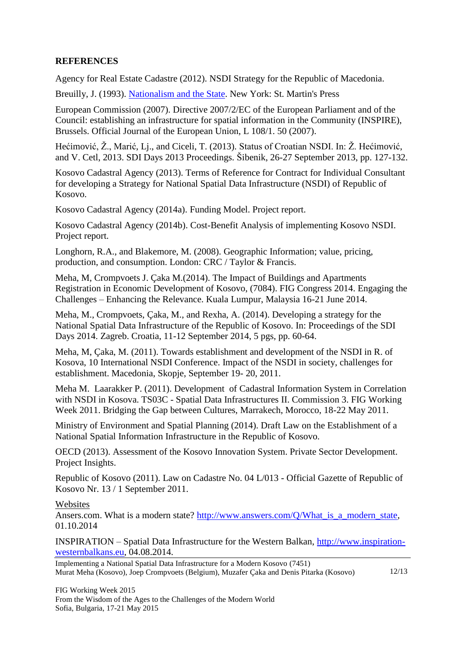## **REFERENCES**

Agency for Real Estate Cadastre (2012). NSDI Strategy for the Republic of Macedonia.

Breuilly, J. (1993). [Nationalism and the State.](http://books.google.com/books?vid=ISBN0719038006&id=6sEVmFtkpngC&pg=PP1&lpg=PP1&ots=jaRrjiINsh&dq=Breuilly+Nationalism+and+the+State&sig=xdUZ4zKU-os0Mx75Wk9gO3LuYhU) New York: St. Martin's Press

European Commission (2007). Directive 2007/2/EC of the European Parliament and of the Council: establishing an infrastructure for spatial information in the Community (INSPIRE), Brussels. Official Journal of the European Union, L 108/1. 50 (2007).

Hećimović, Ž., Marić, Lj., and Ciceli, T. (2013). Status of Croatian NSDI. In: Ž. Hećimović, and V. Cetl, 2013. SDI Days 2013 Proceedings. Šibenik, 26-27 September 2013, pp. 127-132.

Kosovo Cadastral Agency (2013). Terms of Reference for Contract for Individual Consultant for developing a Strategy for National Spatial Data Infrastructure (NSDI) of Republic of Kosovo.

Kosovo Cadastral Agency (2014a). Funding Model. Project report.

Kosovo Cadastral Agency (2014b). Cost-Benefit Analysis of implementing Kosovo NSDI. Project report.

Longhorn, R.A., and Blakemore, M. (2008). Geographic Information; value, pricing, production, and consumption. London: CRC / Taylor & Francis.

Meha, M, Crompvoets J. Çaka M.(2014). The Impact of Buildings and Apartments Registration in Economic Development of Kosovo, (7084). FIG Congress 2014. Engaging the Challenges – Enhancing the Relevance. Kuala Lumpur, Malaysia 16-21 June 2014.

Meha, M., Crompvoets, Çaka, M., and Rexha, A. (2014). Developing a strategy for the National Spatial Data Infrastructure of the Republic of Kosovo. In: Proceedings of the SDI Days 2014. Zagreb. Croatia, 11-12 September 2014, 5 pgs, pp. 60-64.

Meha, M, Çaka, M. (2011). Towards establishment and development of the NSDI in R. of Kosova, 10 International NSDI Conference. Impact of the NSDI in society, challenges for establishment. Macedonia, Skopje, September 19- 20, 2011.

Meha M. Laarakker P. (2011). Development of Cadastral Information System in Correlation with NSDI in Kosova. TS03C - Spatial Data Infrastructures II. Commission 3. FIG Working Week 2011. Bridging the Gap between Cultures, Marrakech, Morocco, 18-22 May 2011.

Ministry of Environment and Spatial Planning (2014). Draft Law on the Establishment of a National Spatial Information Infrastructure in the Republic of Kosovo.

OECD (2013). Assessment of the Kosovo Innovation System. Private Sector Development. Project Insights.

Republic of Kosovo (2011). Law on Cadastre No. 04 L/013 - Official Gazette of Republic of Kosovo Nr. 13 / 1 September 2011.

Websites

Ansers.com. What is a modern state? [http://www.answers.com/Q/What\\_is\\_a\\_modern\\_state,](http://www.answers.com/Q/What_is_a_modern_state) 01.10.2014

INSPIRATION – Spatial Data Infrastructure for the Western Balkan, [http://www.inspiration](http://www.inspiration-westernbalkans.eu/)[westernbalkans.eu,](http://www.inspiration-westernbalkans.eu/) 04.08.2014.

12/13